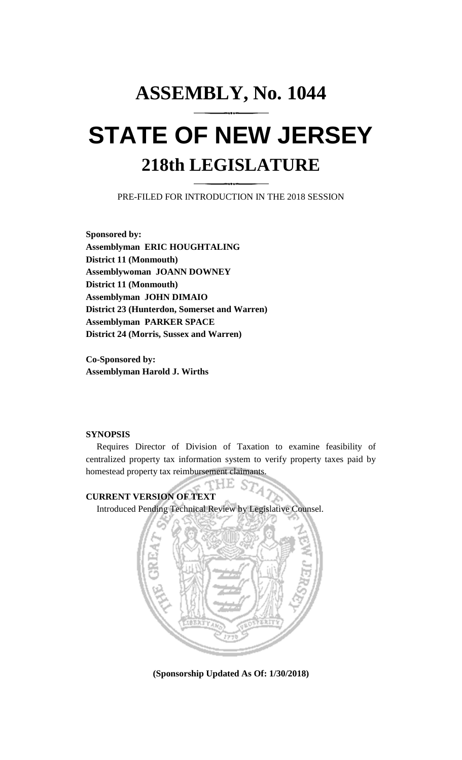# **ASSEMBLY, No. 1044 STATE OF NEW JERSEY 218th LEGISLATURE**

PRE-FILED FOR INTRODUCTION IN THE 2018 SESSION

**Sponsored by: Assemblyman ERIC HOUGHTALING District 11 (Monmouth) Assemblywoman JOANN DOWNEY District 11 (Monmouth) Assemblyman JOHN DIMAIO District 23 (Hunterdon, Somerset and Warren) Assemblyman PARKER SPACE District 24 (Morris, Sussex and Warren)**

**Co-Sponsored by: Assemblyman Harold J. Wirths**

## **SYNOPSIS**

Requires Director of Division of Taxation to examine feasibility of centralized property tax information system to verify property taxes paid by homestead property tax reimbursement claimants.

**CURRENT VERSION OF TEXT** 

Introduced Pending Technical Review by Legislative Counsel.



**(Sponsorship Updated As Of: 1/30/2018)**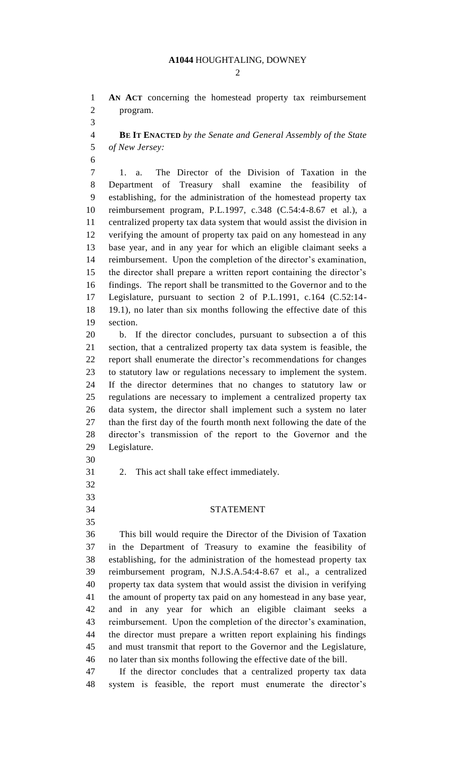#### **A1044** HOUGHTALING, DOWNEY

 $\mathcal{D}_{\mathcal{L}}$ 

 **AN ACT** concerning the homestead property tax reimbursement program.

 **BE IT ENACTED** *by the Senate and General Assembly of the State of New Jersey:*

 1. a. The Director of the Division of Taxation in the Department of Treasury shall examine the feasibility of establishing, for the administration of the homestead property tax reimbursement program, P.L.1997, c.348 (C.54:4-8.67 et al.), a centralized property tax data system that would assist the division in verifying the amount of property tax paid on any homestead in any base year, and in any year for which an eligible claimant seeks a reimbursement. Upon the completion of the director's examination, the director shall prepare a written report containing the director's findings. The report shall be transmitted to the Governor and to the Legislature, pursuant to section 2 of P.L.1991, c.164 (C.52:14- 19.1), no later than six months following the effective date of this section.

 b. If the director concludes, pursuant to subsection a of this section, that a centralized property tax data system is feasible, the report shall enumerate the director's recommendations for changes to statutory law or regulations necessary to implement the system. If the director determines that no changes to statutory law or regulations are necessary to implement a centralized property tax data system, the director shall implement such a system no later than the first day of the fourth month next following the date of the director's transmission of the report to the Governor and the Legislature.

- 
- 2. This act shall take effect immediately.
- 
- 

## STATEMENT

 This bill would require the Director of the Division of Taxation in the Department of Treasury to examine the feasibility of establishing, for the administration of the homestead property tax reimbursement program, N.J.S.A.54:4-8.67 et al., a centralized property tax data system that would assist the division in verifying the amount of property tax paid on any homestead in any base year, and in any year for which an eligible claimant seeks a reimbursement. Upon the completion of the director's examination, the director must prepare a written report explaining his findings and must transmit that report to the Governor and the Legislature, no later than six months following the effective date of the bill.

 If the director concludes that a centralized property tax data system is feasible, the report must enumerate the director's